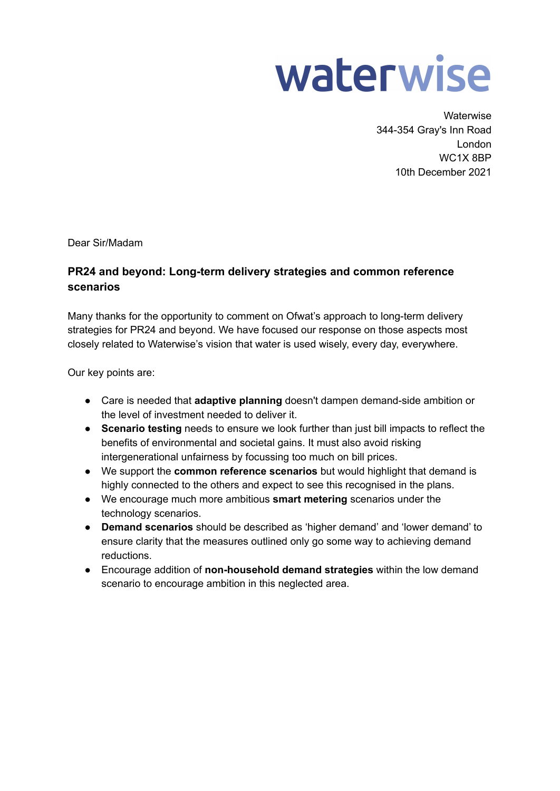

**Waterwise** 344-354 Gray's Inn Road London WC1X 8BP 10th December 2021

Dear Sir/Madam

# **PR24 and beyond: Long-term delivery strategies and common reference scenarios**

Many thanks for the opportunity to comment on Ofwat's approach to long-term delivery strategies for PR24 and beyond. We have focused our response on those aspects most closely related to Waterwise's vision that water is used wisely, every day, everywhere.

Our key points are:

- Care is needed that **adaptive planning** doesn't dampen demand-side ambition or the level of investment needed to deliver it.
- **Scenario testing** needs to ensure we look further than just bill impacts to reflect the benefits of environmental and societal gains. It must also avoid risking intergenerational unfairness by focussing too much on bill prices.
- We support the **common reference scenarios** but would highlight that demand is highly connected to the others and expect to see this recognised in the plans.
- We encourage much more ambitious **smart metering** scenarios under the technology scenarios.
- **Demand scenarios** should be described as 'higher demand' and 'lower demand' to ensure clarity that the measures outlined only go some way to achieving demand reductions.
- Encourage addition of **non-household demand strategies** within the low demand scenario to encourage ambition in this neglected area.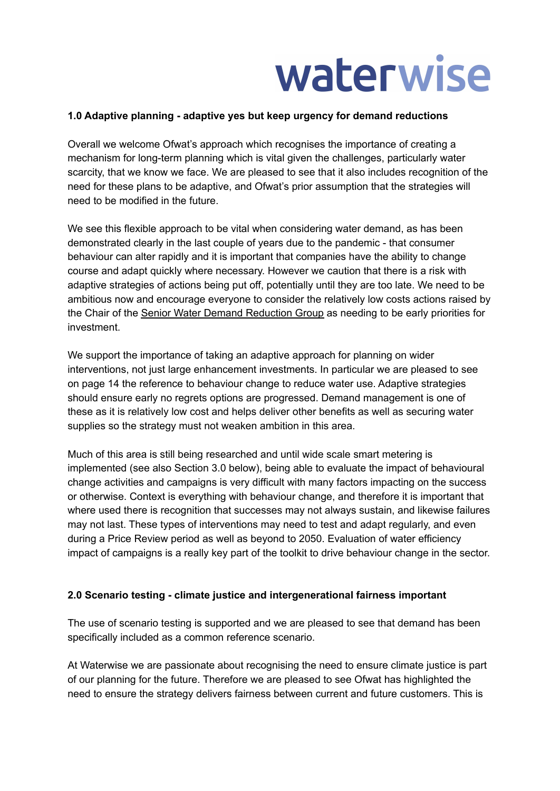

### **1.0 Adaptive planning - adaptive yes but keep urgency for demand reductions**

Overall we welcome Ofwat's approach which recognises the importance of creating a mechanism for long-term planning which is vital given the challenges, particularly water scarcity, that we know we face. We are pleased to see that it also includes recognition of the need for these plans to be adaptive, and Ofwat's prior assumption that the strategies will need to be modified in the future.

We see this flexible approach to be vital when considering water demand, as has been demonstrated clearly in the last couple of years due to the pandemic - that consumer behaviour can alter rapidly and it is important that companies have the ability to change course and adapt quickly where necessary. However we caution that there is a risk with adaptive strategies of actions being put off, potentially until they are too late. We need to be ambitious now and encourage everyone to consider the relatively low costs actions raised by the Chair of the Senior Water Demand [Reduction](https://www.waterwise.org.uk/knowledge-base/senior-water-demand-reduction-group/) Group as needing to be early priorities for investment.

We support the importance of taking an adaptive approach for planning on wider interventions, not just large enhancement investments. In particular we are pleased to see on page 14 the reference to behaviour change to reduce water use. Adaptive strategies should ensure early no regrets options are progressed. Demand management is one of these as it is relatively low cost and helps deliver other benefits as well as securing water supplies so the strategy must not weaken ambition in this area.

Much of this area is still being researched and until wide scale smart metering is implemented (see also Section 3.0 below), being able to evaluate the impact of behavioural change activities and campaigns is very difficult with many factors impacting on the success or otherwise. Context is everything with behaviour change, and therefore it is important that where used there is recognition that successes may not always sustain, and likewise failures may not last. These types of interventions may need to test and adapt regularly, and even during a Price Review period as well as beyond to 2050. Evaluation of water efficiency impact of campaigns is a really key part of the toolkit to drive behaviour change in the sector.

#### **2.0 Scenario testing - climate justice and intergenerational fairness important**

The use of scenario testing is supported and we are pleased to see that demand has been specifically included as a common reference scenario.

At Waterwise we are passionate about recognising the need to ensure climate justice is part of our planning for the future. Therefore we are pleased to see Ofwat has highlighted the need to ensure the strategy delivers fairness between current and future customers. This is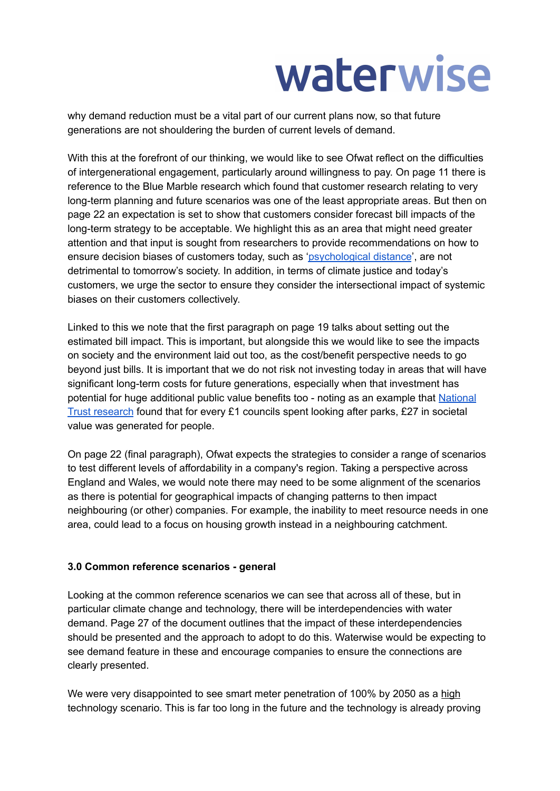# waterwise

why demand reduction must be a vital part of our current plans now, so that future generations are not shouldering the burden of current levels of demand.

With this at the forefront of our thinking, we would like to see Ofwat reflect on the difficulties of intergenerational engagement, particularly around willingness to pay. On page 11 there is reference to the Blue Marble research which found that customer research relating to very long-term planning and future scenarios was one of the least appropriate areas. But then on page 22 an expectation is set to show that customers consider forecast bill impacts of the long-term strategy to be acceptable. We highlight this as an area that might need greater attention and that input is sought from researchers to provide recommendations on how to ensure decision biases of customers today, such as ['psychological](https://www.frontiersin.org/articles/10.3389/fpsyg.2020.568899/full) distance', are not detrimental to tomorrow's society. In addition, in terms of climate justice and today's customers, we urge the sector to ensure they consider the intersectional impact of systemic biases on their customers collectively.

Linked to this we note that the first paragraph on page 19 talks about setting out the estimated bill impact. This is important, but alongside this we would like to see the impacts on society and the environment laid out too, as the cost/benefit perspective needs to go beyond just bills. It is important that we do not risk not investing today in areas that will have significant long-term costs for future generations, especially when that investment has potential for huge additional public value benefits too - noting as an example that [National](https://www.nationaltrust.org.uk/press-release/new-research-shows-55bn-fund-needed-to-level-up-access-to-urban-green-space-as-part-of-uks-green-recovery) Trust [research](https://www.nationaltrust.org.uk/press-release/new-research-shows-55bn-fund-needed-to-level-up-access-to-urban-green-space-as-part-of-uks-green-recovery) found that for every £1 councils spent looking after parks, £27 in societal value was generated for people.

On page 22 (final paragraph), Ofwat expects the strategies to consider a range of scenarios to test different levels of affordability in a company's region. Taking a perspective across England and Wales, we would note there may need to be some alignment of the scenarios as there is potential for geographical impacts of changing patterns to then impact neighbouring (or other) companies. For example, the inability to meet resource needs in one area, could lead to a focus on housing growth instead in a neighbouring catchment.

# **3.0 Common reference scenarios - general**

Looking at the common reference scenarios we can see that across all of these, but in particular climate change and technology, there will be interdependencies with water demand. Page 27 of the document outlines that the impact of these interdependencies should be presented and the approach to adopt to do this. Waterwise would be expecting to see demand feature in these and encourage companies to ensure the connections are clearly presented.

We were very disappointed to see smart meter penetration of 100% by 2050 as a high technology scenario. This is far too long in the future and the technology is already proving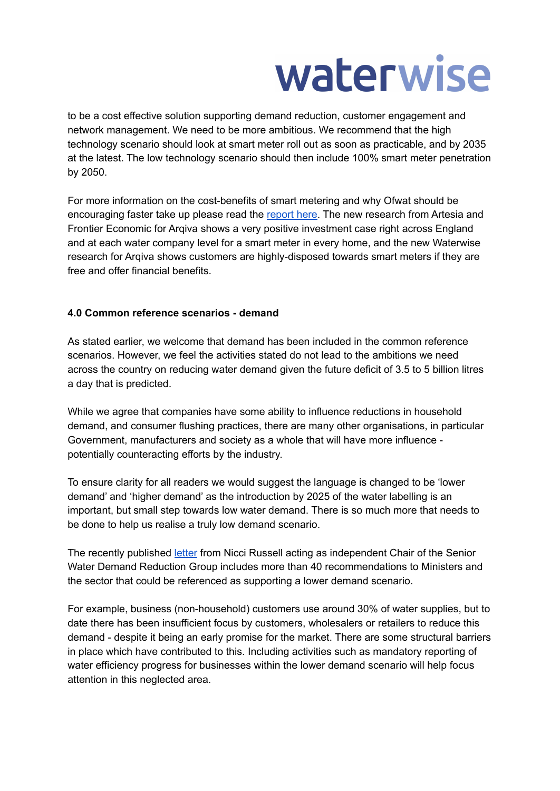# waterwise

to be a cost effective solution supporting demand reduction, customer engagement and network management. We need to be more ambitious. We recommend that the high technology scenario should look at smart meter roll out as soon as practicable, and by 2035 at the latest. The low technology scenario should then include 100% smart meter penetration by 2050.

For more information on the cost-benefits of smart metering and why Ofwat should be encouraging faster take up please read the [report](https://admin.frontier-economics.com/media/4946/arqiva-cost-benefit-analysis-a4-full-report.pdf) here. The new research from Artesia and Frontier Economic for Arqiva shows a very positive investment case right across England and at each water company level for a smart meter in every home, and the new Waterwise research for Arqiva shows customers are highly-disposed towards smart meters if they are free and offer financial benefits.

# **4.0 Common reference scenarios - demand**

As stated earlier, we welcome that demand has been included in the common reference scenarios. However, we feel the activities stated do not lead to the ambitions we need across the country on reducing water demand given the future deficit of 3.5 to 5 billion litres a day that is predicted.

While we agree that companies have some ability to influence reductions in household demand, and consumer flushing practices, there are many other organisations, in particular Government, manufacturers and society as a whole that will have more influence potentially counteracting efforts by the industry.

To ensure clarity for all readers we would suggest the language is changed to be 'lower demand' and 'higher demand' as the introduction by 2025 of the water labelling is an important, but small step towards low water demand. There is so much more that needs to be done to help us realise a truly low demand scenario.

The recently published [letter](https://www.waterwise.org.uk/wp-content/uploads/2021/12/SWDRG-Chairs-Letter-to-Ministers-regulators-and-the-water-industry-December-2021-FINAL.docx-2.pdf) from Nicci Russell acting as independent Chair of the Senior Water Demand Reduction Group includes more than 40 recommendations to Ministers and the sector that could be referenced as supporting a lower demand scenario.

For example, business (non-household) customers use around 30% of water supplies, but to date there has been insufficient focus by customers, wholesalers or retailers to reduce this demand - despite it being an early promise for the market. There are some structural barriers in place which have contributed to this. Including activities such as mandatory reporting of water efficiency progress for businesses within the lower demand scenario will help focus attention in this neglected area.